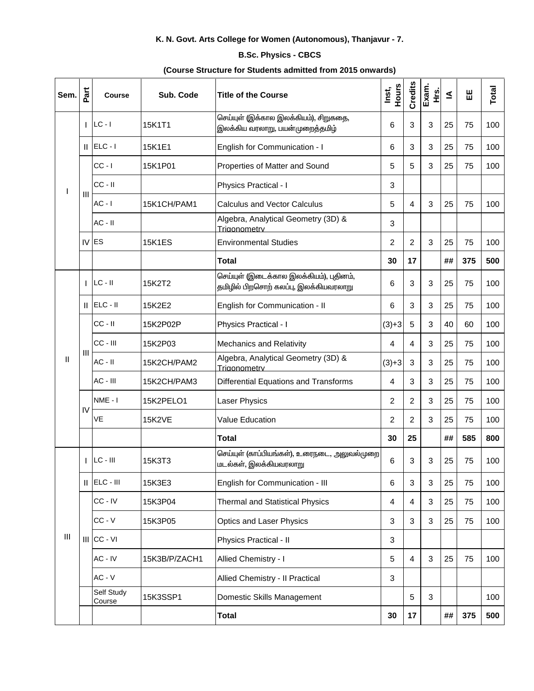## K. N. Govt. Arts College for Women (Autonomous), Thanjavur - 7.

## **B.Sc. Physics - CBCS**

## (Course Structure for Students admitted from 2015 onwards)

| Sem.               | Part | <b>Course</b>        | Sub. Code     | <b>Title of the Course</b>                                                       | Hours<br>Inst, | Credits        | Exam.<br>غ<br>± | ≤  | 出   | Total |
|--------------------|------|----------------------|---------------|----------------------------------------------------------------------------------|----------------|----------------|-----------------|----|-----|-------|
| L                  |      | $ LC - I $           | 15K1T1        | செய்யுள் (இக்கால இலக்கியம்), சிறுகதை,<br>இலக்கிய வரலாறு, பயன்முறைத்தமிழ்         | 6              | 3              | 3               | 25 | 75  | 100   |
|                    |      | $  $ ELC - $ $       | 15K1E1        | English for Communication - I                                                    | 6              | 3              | 3               | 25 | 75  | 100   |
|                    | Ш    | $CC - I$             | 15K1P01       | Properties of Matter and Sound                                                   | 5              | 5              | 3               | 25 | 75  | 100   |
|                    |      | $CC - II$            |               | Physics Practical - I                                                            | 3              |                |                 |    |     |       |
|                    |      | $AC - I$             | 15K1CH/PAM1   | <b>Calculus and Vector Calculus</b>                                              | 5              | 4              | 3               | 25 | 75  | 100   |
|                    |      | $AC - II$            |               | Algebra, Analytical Geometry (3D) &<br>Trigonometry                              | $\sqrt{3}$     |                |                 |    |     |       |
|                    |      | $IV$ ES              | <b>15K1ES</b> | <b>Environmental Studies</b>                                                     | 2              | $\overline{2}$ | 3               | 25 | 75  | 100   |
|                    |      |                      |               | <b>Total</b>                                                                     | 30             | 17             |                 | ## | 375 | 500   |
| $\mathbf{II}$      |      | $LC - II$            | 15K2T2        | செய்யுள் (இடைக்கால இலக்கியம்), புதினம்,<br>தமிழில் பிறசொற் கலப்பு, இலக்கியவரலாறு | 6              | 3              | 3               | 25 | 75  | 100   |
|                    |      | $  $ ELC - $  $      | 15K2E2        | English for Communication - II                                                   | 6              | 3              | 3               | 25 | 75  | 100   |
|                    |      | $CC - II$            | 15K2P02P      | Physics Practical - I                                                            | $(3)+3$        | 5              | 3               | 40 | 60  | 100   |
|                    | Ш    | CC - III             | 15K2P03       | Mechanics and Relativity                                                         | 4              | 4              | 3               | 25 | 75  | 100   |
|                    |      | $AC - II$            | 15K2CH/PAM2   | Algebra, Analytical Geometry (3D) &<br>Triaonometry                              | $(3)+3$        | 3              | 3               | 25 | 75  | 100   |
|                    |      | AC - III             | 15K2CH/PAM3   | <b>Differential Equations and Transforms</b>                                     | 4              | 3              | 3               | 25 | 75  | 100   |
|                    | IV   | NME - I              | 15K2PELO1     | Laser Physics                                                                    | $\overline{2}$ | $\overline{2}$ | 3               | 25 | 75  | 100   |
|                    |      | VE                   | <b>15K2VE</b> | Value Education                                                                  | 2              | $\overline{2}$ | 3               | 25 | 75  | 100   |
|                    |      |                      |               | <b>Total</b>                                                                     | 30             | 25             |                 | ## | 585 | 800   |
| $\mathop{\rm III}$ |      | $LC - III$           | 15K3T3        | செய்யுள் (காப்பியங்கள்), உரைநடை, அலுவல்முறை<br>மடல்கள், இலக்கியவரலாறு            | 6              | 3              | 3               | 25 | 75  | 100   |
|                    |      | $  $ $ ELC -    $    | 15K3E3        | English for Communication - III                                                  | 6              | $\sqrt{3}$     | 3               | 25 | 75  | 100   |
|                    |      | CC - IV              | 15K3P04       | <b>Thermal and Statistical Physics</b>                                           | 4              | 4              | 3               | 25 | 75  | 100   |
|                    |      | $CC - V$             | 15K3P05       | <b>Optics and Laser Physics</b>                                                  | 3              | 3              | $\sqrt{3}$      | 25 | 75  | 100   |
|                    |      | $III$ CC - VI        |               | Physics Practical - II                                                           | 3              |                |                 |    |     |       |
|                    |      | $AC - IV$            | 15K3B/P/ZACH1 | Allied Chemistry - I                                                             | $\overline{5}$ | 4              | $\sqrt{3}$      | 25 | 75  | 100   |
|                    |      | $AC - V$             |               | Allied Chemistry - Il Practical                                                  | $\sqrt{3}$     |                |                 |    |     |       |
|                    |      | Self Study<br>Course | 15K3SSP1      | Domestic Skills Management                                                       |                | 5              | 3               |    |     | 100   |
|                    |      |                      |               | <b>Total</b>                                                                     | 30             | 17             |                 | ## | 375 | 500   |